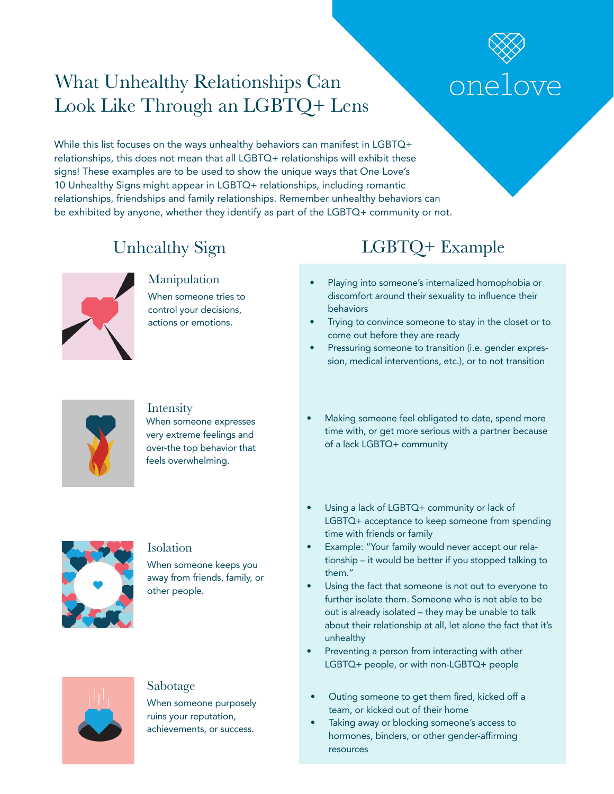# What Unhealthy Relationships Can Look Like Through an LGBTQ+ Lens

# onelove

While this list focuses on the ways unhealthy behaviors can manifest in LGBTQ+ relationships, this does not mean that all LGBTQ+ relationships will exhibit these signs! These examples are to be used to show the unique ways that One Love's 10 Unhealthy Signs might appear in LGBTQ+ relationships, including romantic relationships, friendships and family relationships. Remember unhealthy behaviors can be exhibited by anyone, whether they identify as part of the LGBTQ+ community or not.





### Intensity

When someone expresses very extreme feelings and over-the top behavior that feels overwhelming.

- Playing into someone's internalized homophobia or discomfort around their sexuality to infuence their
- Trying to convince someone to stay in the closet or to come out before they are ready
- Pressuring someone to transition (i.e. gender expression, medical interventions, etc.), or to not transition
- Making someone feel obligated to date, spend more time with, or get more serious with a partner because of a lack LGBTQ+ community



### Isolation

When someone keeps you away from friends, family, or other people.



• Using a lack of LGBTQ+ community or lack of LGBTQ+ acceptance to keep someone from spending time with friends or family

- Example: "Your family would never accept our relationship – it would be better if you stopped talking to them."
- Using the fact that someone is not out to everyone to further isolate them. Someone who is not able to be out is already isolated – they may be unable to talk about their relationship at all, let alone the fact that it's unhealthy
- Preventing a person from interacting with other LGBTQ+ people, or with non-LGBTQ+ people
- Outing someone to get them fired, kicked off a team, or kicked out of their home
- Taking away or blocking someone's access to hormones, binders, or other gender-affrming resources



### Sabotage

When someone purposely ruins your reputation, achievements, or success.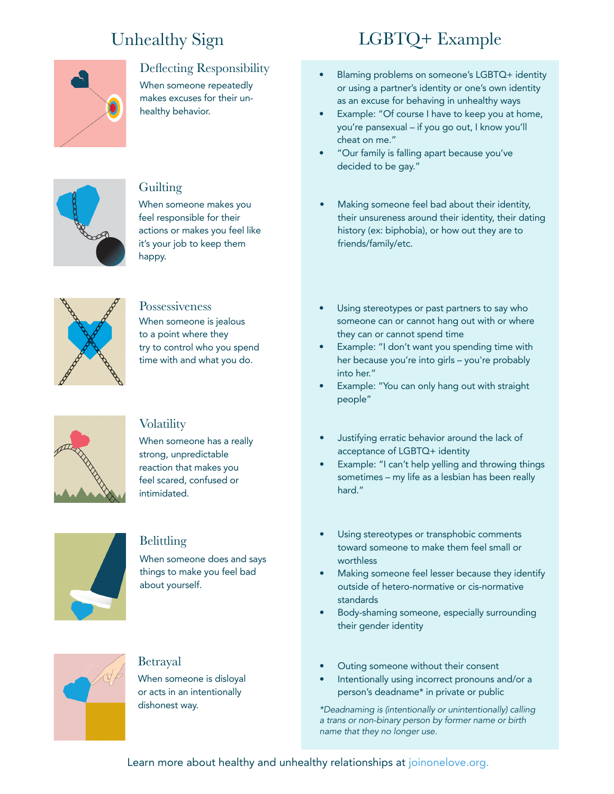

### Defecting Responsibility

When someone repeatedly makes excuses for their unhealthy behavior.



### **Guilting**

When someone makes you feel responsible for their actions or makes you feel like it's your job to keep them happy.



### Possessiveness

When someone is jealous to a point where they try to control who you spend time with and what you do.



### **Volatility**

When someone has a really strong, unpredictable reaction that makes you feel scared, confused or intimidated.



### Belittling

When someone does and says things to make you feel bad about yourself.



### Betrayal

When someone is disloyal or acts in an intentionally dishonest way.

# Unhealthy Sign LGBTQ+ Example

- Blaming problems on someone's LGBTQ+ identity or using a partner's identity or one's own identity as an excuse for behaving in unhealthy ways
- Example: "Of course I have to keep you at home, you're pansexual – if you go out, I know you'll cheat on me."
- "Our family is falling apart because you've decided to be gay."
- Making someone feel bad about their identity, their unsureness around their identity, their dating history (ex: biphobia), or how out they are to friends/family/etc.
- Using stereotypes or past partners to say who someone can or cannot hang out with or where they can or cannot spend time
- Example: "I don't want you spending time with her because you're into girls – you're probably into her."
- Example: "You can only hang out with straight people"
- Justifying erratic behavior around the lack of acceptance of LGBTQ+ identity
- Example: "I can't help yelling and throwing things sometimes – my life as a lesbian has been really hard."
- Using stereotypes or transphobic comments toward someone to make them feel small or worthless
- Making someone feel lesser because they identify outside of hetero-normative or cis-normative standards
- Body-shaming someone, especially surrounding their gender identity
- Outing someone without their consent
- Intentionally using incorrect pronouns and/or a person's deadname\* in private or public

\*Deadnaming is (intentionally or unintentionally) calling a trans or non-binary person by former name or birth name that they no longer use.

Learn more about healthy and unhealthy relationships at joinonelove.org.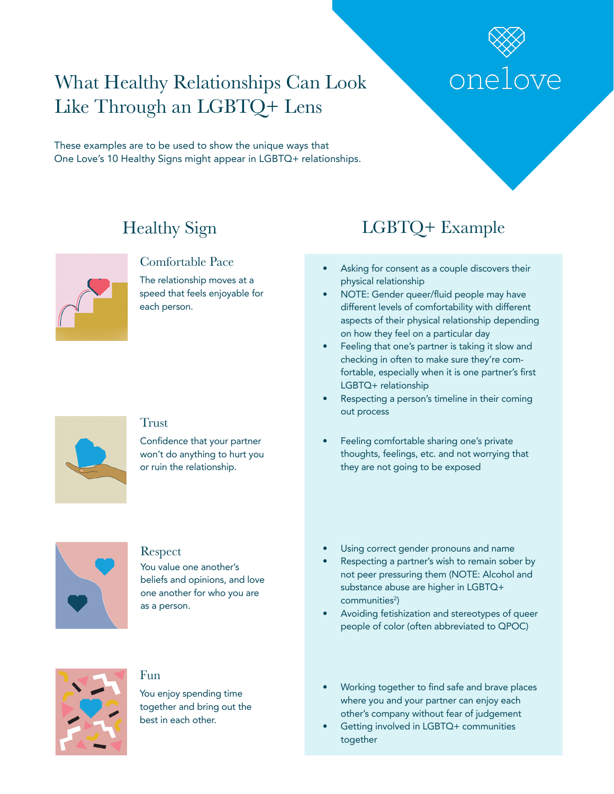

# What Healthy Relationships Can Look Like Through an LGBTQ+ Lens

These examples are to be used to show the unique ways that One Love's 10 Healthy Signs might appear in LGBTQ+ relationships.



### Comfortable Pace

The relationship moves at a speed that feels enjoyable for each person.



### **Trust**

Confidence that your partner won't do anything to hurt you or ruin the relationship.



### Respect

You value one another's beliefs and opinions, and love one another for who you are as a person.



### Fun

You enjoy spending time together and bring out the best in each other.

# Healthy Sign LGBTQ+ Example

- Asking for consent as a couple discovers their physical relationship
- NOTE: Gender queer/fuid people may have different levels of comfortability with different aspects of their physical relationship depending on how they feel on a particular day
- Feeling that one's partner is taking it slow and checking in often to make sure they're comfortable, especially when it is one partner's first LGBTQ+ relationship
- Respecting a person's timeline in their coming out process
- Feeling comfortable sharing one's private thoughts, feelings, etc. and not worrying that they are not going to be exposed
- Using correct gender pronouns and name
- Respecting a partner's wish to remain sober by not peer pressuring them (NOTE: Alcohol and substance abuse are higher in LGBTQ+ communities<sup>2</sup>)
- Avoiding fetishization and stereotypes of queer people of color (often abbreviated to QPOC)
- Working together to find safe and brave places where you and your partner can enjoy each other's company without fear of judgement
- Getting involved in LGBTQ+ communities together